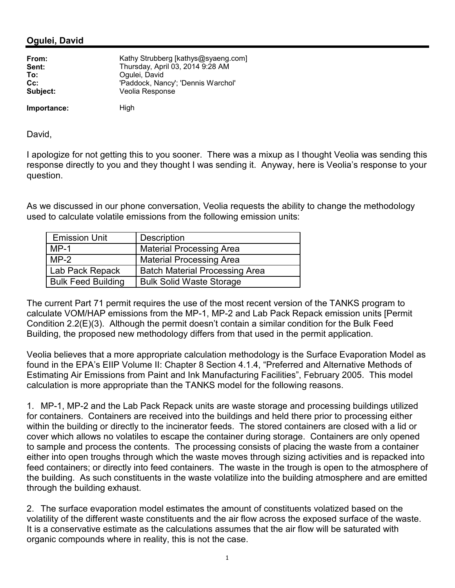## **Ogulei, David**

| From:       | Kathy Strubberg [kathys@syaeng.com] |
|-------------|-------------------------------------|
| Sent:       | Thursday, April 03, 2014 9:28 AM    |
| To:         | Ogulei, David                       |
| $Cc$ :      | 'Paddock, Nancy'; 'Dennis Warchol'  |
| Subject:    | Veolia Response                     |
| Importance: | High                                |

David,

I apologize for not getting this to you sooner. There was a mixup as I thought Veolia was sending this response directly to you and they thought I was sending it. Anyway, here is Veolia's response to your question.

As we discussed in our phone conversation, Veolia requests the ability to change the methodology used to calculate volatile emissions from the following emission units:

| <b>Emission Unit</b>      | Description                           |
|---------------------------|---------------------------------------|
| $MP-1$                    | <b>Material Processing Area</b>       |
| $MP-2$                    | <b>Material Processing Area</b>       |
| Lab Pack Repack           | <b>Batch Material Processing Area</b> |
| <b>Bulk Feed Building</b> | <b>Bulk Solid Waste Storage</b>       |

The current Part 71 permit requires the use of the most recent version of the TANKS program to calculate VOM/HAP emissions from the MP-1, MP-2 and Lab Pack Repack emission units [Permit Condition 2.2(E)(3). Although the permit doesn't contain a similar condition for the Bulk Feed Building, the proposed new methodology differs from that used in the permit application.

Veolia believes that a more appropriate calculation methodology is the Surface Evaporation Model as found in the EPA's EIIP Volume II: Chapter 8 Section 4.1.4, "Preferred and Alternative Methods of Estimating Air Emissions from Paint and Ink Manufacturing Facilities", February 2005. This model calculation is more appropriate than the TANKS model for the following reasons.

1. MP-1, MP-2 and the Lab Pack Repack units are waste storage and processing buildings utilized for containers. Containers are received into the buildings and held there prior to processing either within the building or directly to the incinerator feeds. The stored containers are closed with a lid or cover which allows no volatiles to escape the container during storage. Containers are only opened to sample and process the contents. The processing consists of placing the waste from a container either into open troughs through which the waste moves through sizing activities and is repacked into feed containers; or directly into feed containers. The waste in the trough is open to the atmosphere of the building. As such constituents in the waste volatilize into the building atmosphere and are emitted through the building exhaust.

2. The surface evaporation model estimates the amount of constituents volatized based on the volatility of the different waste constituents and the air flow across the exposed surface of the waste. It is a conservative estimate as the calculations assumes that the air flow will be saturated with organic compounds where in reality, this is not the case.